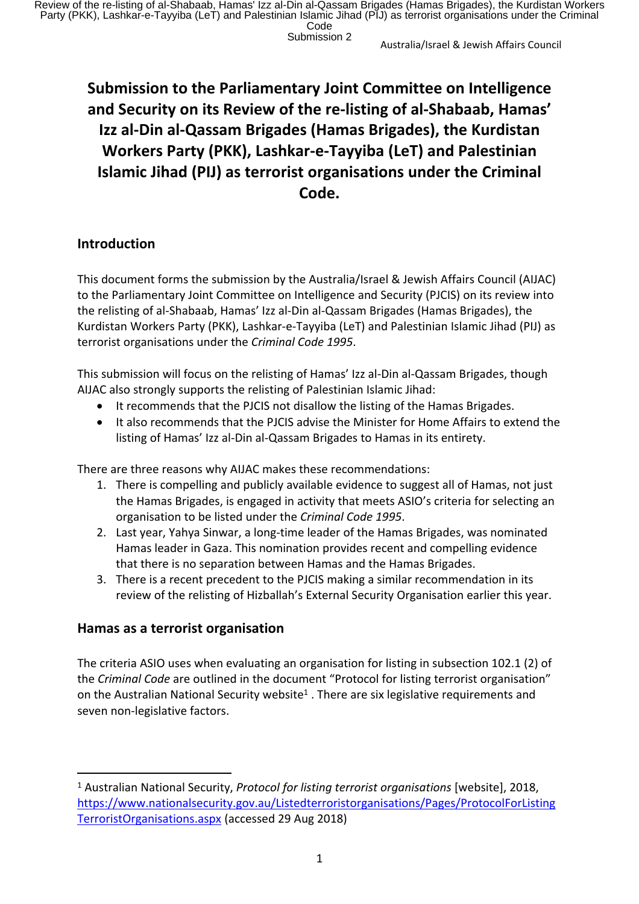# **Submission to the Parliamentary Joint Committee on Intelligence and Security on its Review of the re-listing of al-Shabaab, Hamas' Izz al-Din al-Qassam Brigades (Hamas Brigades), the Kurdistan Workers Party (PKK), Lashkar-e-Tayyiba (LeT) and Palestinian Islamic Jihad (PIJ) as terrorist organisations under the Criminal Code.**

## **Introduction**

This document forms the submission by the Australia/Israel & Jewish Affairs Council (AIJAC) to the Parliamentary Joint Committee on Intelligence and Security (PJCIS) on its review into the relisting of al-Shabaab, Hamas' Izz al-Din al-Qassam Brigades (Hamas Brigades), the Kurdistan Workers Party (PKK), Lashkar-e-Tayyiba (LeT) and Palestinian Islamic Jihad (PIJ) as terrorist organisations under the *Criminal Code 1995*.

This submission will focus on the relisting of Hamas' Izz al-Din al-Qassam Brigades, though AIJAC also strongly supports the relisting of Palestinian Islamic Jihad:

- It recommends that the PJCIS not disallow the listing of the Hamas Brigades.
- It also recommends that the PJCIS advise the Minister for Home Affairs to extend the listing of Hamas' Izz al-Din al-Qassam Brigades to Hamas in its entirety.

There are three reasons why AIJAC makes these recommendations:

- 1. There is compelling and publicly available evidence to suggest all of Hamas, not just the Hamas Brigades, is engaged in activity that meets ASIO's criteria for selecting an organisation to be listed under the *Criminal Code 1995*.
- 2. Last year, Yahya Sinwar, a long-time leader of the Hamas Brigades, was nominated Hamas leader in Gaza. This nomination provides recent and compelling evidence that there is no separation between Hamas and the Hamas Brigades.
- 3. There is a recent precedent to the PJCIS making a similar recommendation in its review of the relisting of Hizballah's External Security Organisation earlier this year.

## **Hamas as a terrorist organisation**

The criteria ASIO uses when evaluating an organisation for listing in subsection 102.1 (2) of the *Criminal Code* are outlined in the document "Protocol for listing terrorist organisation" on the Australian National Security website<sup>1</sup>. There are six legislative requirements and seven non-legislative factors.

<sup>1</sup> Australian National Security, *Protocol for listing terrorist organisations* [website], 2018, https://www.nationalsecurity.gov.au/Listedterroristorganisations/Pages/ProtocolForListing TerroristOrganisations.aspx (accessed 29 Aug 2018)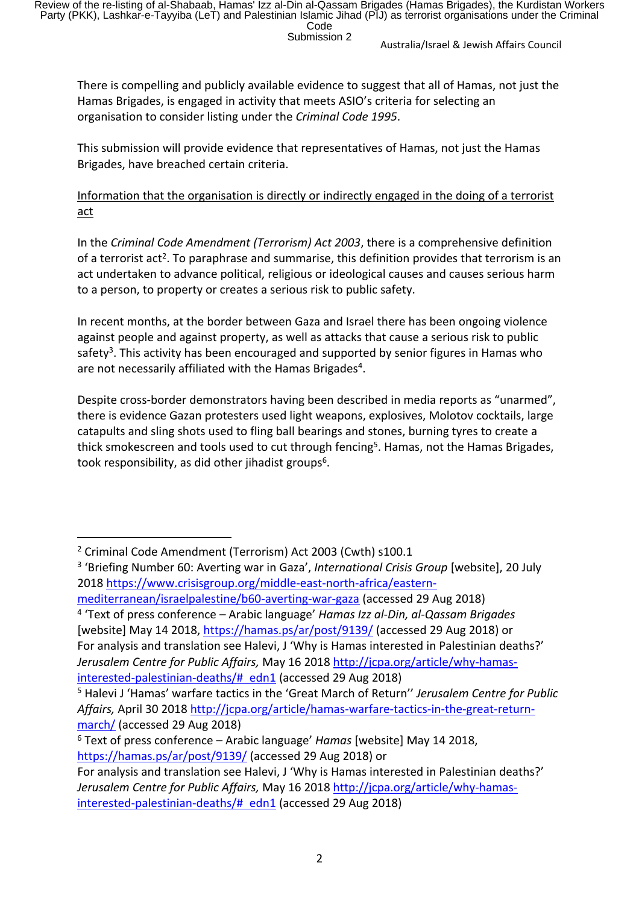There is compelling and publicly available evidence to suggest that all of Hamas, not just the Hamas Brigades, is engaged in activity that meets ASIO's criteria for selecting an organisation to consider listing under the *Criminal Code 1995*.

This submission will provide evidence that representatives of Hamas, not just the Hamas Brigades, have breached certain criteria.

Information that the organisation is directly or indirectly engaged in the doing of a terrorist act

In the *Criminal Code Amendment (Terrorism) Act 2003*, there is a comprehensive definition of a terrorist act<sup>2</sup>. To paraphrase and summarise, this definition provides that terrorism is an act undertaken to advance political, religious or ideological causes and causes serious harm to a person, to property or creates a serious risk to public safety.

In recent months, at the border between Gaza and Israel there has been ongoing violence against people and against property, as well as attacks that cause a serious risk to public safety<sup>3</sup>. This activity has been encouraged and supported by senior figures in Hamas who are not necessarily affiliated with the Hamas Brigades<sup>4</sup>.

Despite cross-border demonstrators having been described in media reports as "unarmed", there is evidence Gazan protesters used light weapons, explosives, Molotov cocktails, large catapults and sling shots used to fling ball bearings and stones, burning tyres to create a thick smokescreen and tools used to cut through fencing<sup>5</sup>. Hamas, not the Hamas Brigades, took responsibility, as did other jihadist groups<sup>6</sup>.

<sup>2</sup> Criminal Code Amendment (Terrorism) Act 2003 (Cwth) s100.1

<sup>3</sup> 'Briefing Number 60: Averting war in Gaza', *International Crisis Group* [website], 20 July 2018 https://www.crisisgroup.org/middle-east-north-africa/eastern-

mediterranean/israelpalestine/b60-averting-war-gaza (accessed 29 Aug 2018) 4 'Text of press conference – Arabic language' *Hamas Izz al-Din, al-Qassam Brigades*  [website] May 14 2018, https://hamas.ps/ar/post/9139/ (accessed 29 Aug 2018) or For analysis and translation see Halevi, J 'Why is Hamas interested in Palestinian deaths?' *Jerusalem Centre for Public Affairs,* May 16 2018 http://jcpa.org/article/why-hamasinterested-palestinian-deaths/# edn1 (accessed 29 Aug 2018)

<sup>5</sup> Halevi J 'Hamas' warfare tactics in the 'Great March of Return'' *Jerusalem Centre for Public Affairs,* April 30 2018 http://jcpa.org/article/hamas-warfare-tactics-in-the-great-returnmarch/ (accessed 29 Aug 2018)

<sup>6</sup> Text of press conference – Arabic language' *Hamas* [website] May 14 2018, https://hamas.ps/ar/post/9139/ (accessed 29 Aug 2018) or

For analysis and translation see Halevi, J 'Why is Hamas interested in Palestinian deaths?' *Jerusalem Centre for Public Affairs,* May 16 2018 http://jcpa.org/article/why-hamasinterested-palestinian-deaths/# edn1 (accessed 29 Aug 2018)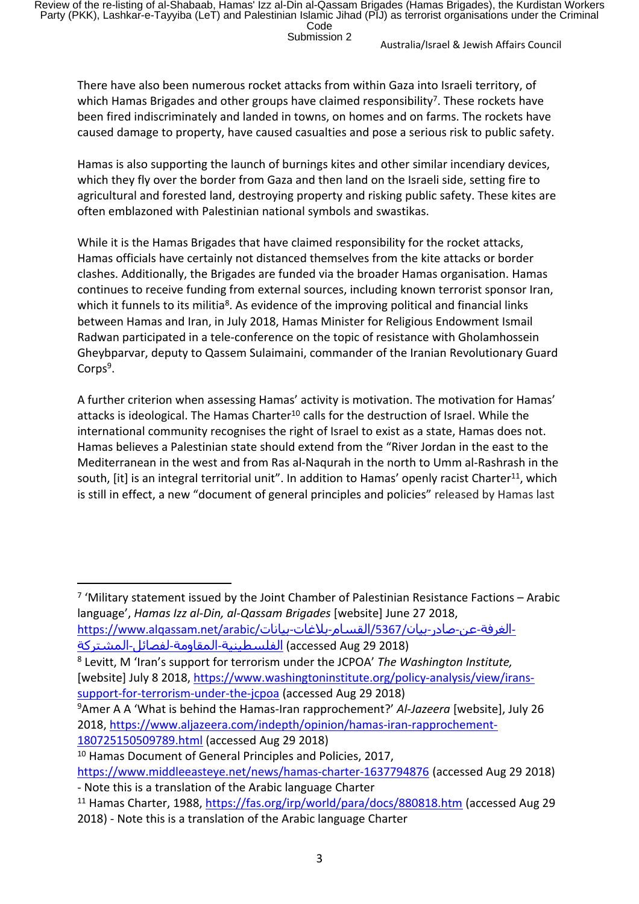There have also been numerous rocket attacks from within Gaza into Israeli territory, of which Hamas Brigades and other groups have claimed responsibility<sup>7</sup>. These rockets have been fired indiscriminately and landed in towns, on homes and on farms. The rockets have caused damage to property, have caused casualties and pose a serious risk to public safety.

Hamas is also supporting the launch of burnings kites and other similar incendiary devices, which they fly over the border from Gaza and then land on the Israeli side, setting fire to agricultural and forested land, destroying property and risking public safety. These kites are often emblazoned with Palestinian national symbols and swastikas.

While it is the Hamas Brigades that have claimed responsibility for the rocket attacks, Hamas officials have certainly not distanced themselves from the kite attacks or border clashes. Additionally, the Brigades are funded via the broader Hamas organisation. Hamas continues to receive funding from external sources, including known terrorist sponsor Iran, which it funnels to its militia<sup>8</sup>. As evidence of the improving political and financial links between Hamas and Iran, in July 2018, Hamas Minister for Religious Endowment Ismail Radwan participated in a tele-conference on the topic of resistance with Gholamhossein Gheybparvar, deputy to Qassem Sulaimaini, commander of the Iranian Revolutionary Guard Corps<sup>9</sup>.

A further criterion when assessing Hamas' activity is motivation. The motivation for Hamas' attacks is ideological. The Hamas Charter<sup>10</sup> calls for the destruction of Israel. While the international community recognises the right of Israel to exist as a state, Hamas does not. Hamas believes a Palestinian state should extend from the "River Jordan in the east to the Mediterranean in the west and from Ras al-Naqurah in the north to Umm al-Rashrash in the south, [it] is an integral territorial unit". In addition to Hamas' openly racist Charter<sup>11</sup>, which is still in effect, a new "document of general principles and policies" released by Hamas last

<sup>7</sup> 'Military statement issued by the Joint Chamber of Palestinian Resistance Factions - Arabic language', *Hamas Izz al-Din, al-Qassam Brigades* [website] June 27 2018,

-الغرفة-عن-صادر-بيان/5367/القسـام-بلاغات-بيانات/https://www.alqassam.net/arabic<br>الفلسـطينية-المقاومة-لفصائل-المشـتركة (accessed Aug 29 2018)

8 Levitt, M 'Iran's support for terrorism under the JCPOA' *The Washington Institute,*  [website] July 8 2018, https://www.washingtoninstitute.org/policy-analysis/view/iranssupport-for-terrorism-under-the-jcpoa (accessed Aug 29 2018)

<sup>9</sup>Amer A A 'What is behind the Hamas-Iran rapprochement?' *Al-Jazeera* [website], July 26 2018, https://www.aljazeera.com/indepth/opinion/hamas-iran-rapprochement-

180725150509789.html (accessed Aug 29 2018)

<sup>10</sup> Hamas Document of General Principles and Policies, 2017,

https://www.middleeasteye.net/news/hamas-charter-1637794876 (accessed Aug 29 2018) - Note this is a translation of the Arabic language Charter

<sup>11</sup> Hamas Charter, 1988, https://fas.org/irp/world/para/docs/880818.htm (accessed Aug 29 2018) - Note this is a translation of the Arabic language Charter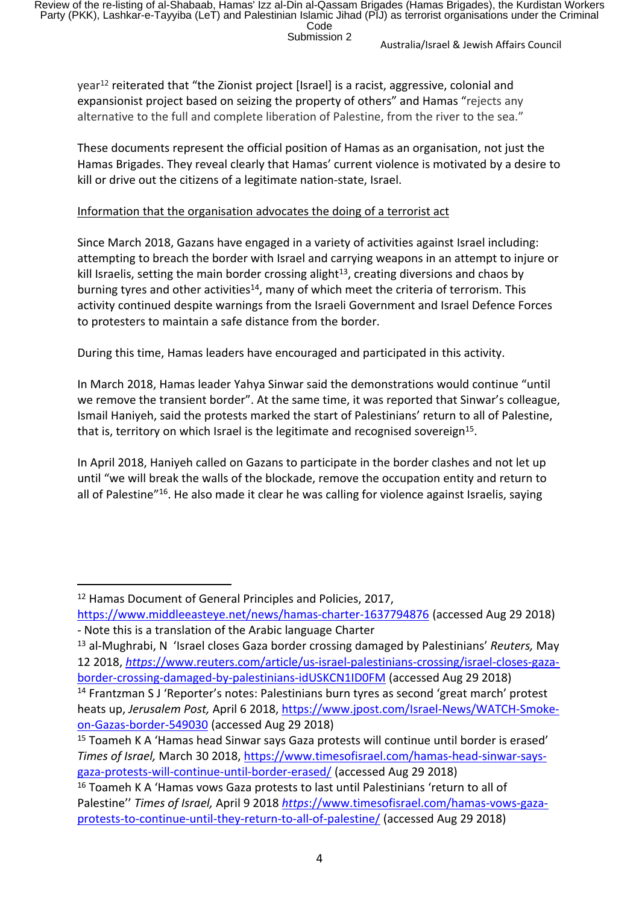year<sup>12</sup> reiterated that "the Zionist project [Israel] is a racist, aggressive, colonial and expansionist project based on seizing the property of others" and Hamas "rejects any alternative to the full and complete liberation of Palestine, from the river to the sea."

These documents represent the official position of Hamas as an organisation, not just the Hamas Brigades. They reveal clearly that Hamas' current violence is motivated by a desire to kill or drive out the citizens of a legitimate nation-state, Israel.

#### Information that the organisation advocates the doing of a terrorist act

Since March 2018, Gazans have engaged in a variety of activities against Israel including: attempting to breach the border with Israel and carrying weapons in an attempt to injure or kill Israelis, setting the main border crossing alight $13$ , creating diversions and chaos by burning tyres and other activities<sup>14</sup>, many of which meet the criteria of terrorism. This activity continued despite warnings from the Israeli Government and Israel Defence Forces to protesters to maintain a safe distance from the border.

During this time, Hamas leaders have encouraged and participated in this activity.

In March 2018, Hamas leader Yahya Sinwar said the demonstrations would continue "until we remove the transient border". At the same time, it was reported that Sinwar's colleague, Ismail Haniyeh, said the protests marked the start of Palestinians' return to all of Palestine, that is, territory on which Israel is the legitimate and recognised sovereign<sup>15</sup>.

In April 2018, Haniyeh called on Gazans to participate in the border clashes and not let up until "we will break the walls of the blockade, remove the occupation entity and return to all of Palestine"<sup>16</sup>. He also made it clear he was calling for violence against Israelis, saying

<sup>12</sup> Hamas Document of General Principles and Policies, 2017,

https://www.middleeasteye.net/news/hamas-charter-1637794876 (accessed Aug 29 2018) - Note this is a translation of the Arabic language Charter

<sup>13</sup> al-Mughrabi, N 'Israel closes Gaza border crossing damaged by Palestinians' *Reuters,* May 12 2018, *https*://www.reuters.com/article/us-israel-palestinians-crossing/israel-closes-gazaborder-crossing-damaged-by-palestinians-idUSKCN1ID0FM (accessed Aug 29 2018)

<sup>14</sup> Frantzman S J 'Reporter's notes: Palestinians burn tyres as second 'great march' protest heats up, *Jerusalem Post,* April 6 2018, https://www.jpost.com/Israel-News/WATCH-Smokeon-Gazas-border-549030 (accessed Aug 29 2018)

<sup>15</sup> Toameh K A 'Hamas head Sinwar says Gaza protests will continue until border is erased' *Times of Israel,* March 30 2018, https://www.timesofisrael.com/hamas-head-sinwar-saysgaza-protests-will-continue-until-border-erased/ (accessed Aug 29 2018)

<sup>16</sup> Toameh K A 'Hamas vows Gaza protests to last until Palestinians 'return to all of Palestine'' *Times of Israel,* April 9 2018 *https*://www.timesofisrael.com/hamas-vows-gazaprotests-to-continue-until-they-return-to-all-of-palestine/ (accessed Aug 29 2018)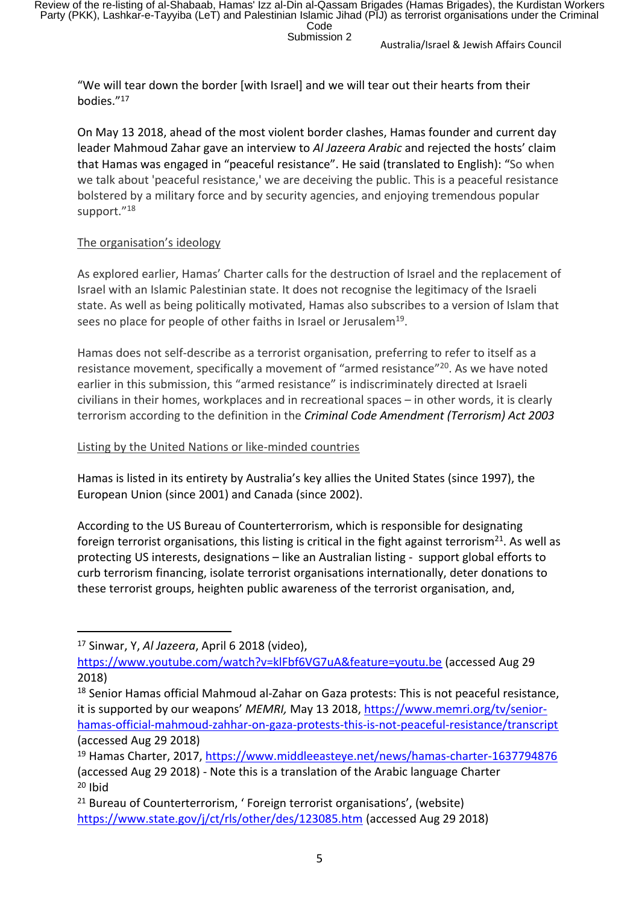"We will tear down the border [with Israel] and we will tear out their hearts from their bodies."<sup>17</sup>

On May 13 2018, ahead of the most violent border clashes, Hamas founder and current day leader Mahmoud Zahar gave an interview to *Al Jazeera Arabic* and rejected the hosts' claim that Hamas was engaged in "peaceful resistance". He said (translated to English): "So when we talk about 'peaceful resistance,' we are deceiving the public. This is a peaceful resistance bolstered by a military force and by security agencies, and enjoying tremendous popular support."<sup>18</sup>

#### The organisation's ideology

As explored earlier, Hamas' Charter calls for the destruction of Israel and the replacement of Israel with an Islamic Palestinian state. It does not recognise the legitimacy of the Israeli state. As well as being politically motivated, Hamas also subscribes to a version of Islam that sees no place for people of other faiths in Israel or Jerusalem<sup>19</sup>.

Hamas does not self-describe as a terrorist organisation, preferring to refer to itself as a resistance movement, specifically a movement of "armed resistance"<sup>20</sup>. As we have noted earlier in this submission, this "armed resistance" is indiscriminately directed at Israeli civilians in their homes, workplaces and in recreational spaces – in other words, it is clearly terrorism according to the definition in the *Criminal Code Amendment (Terrorism) Act 2003*

#### Listing by the United Nations or like-minded countries

Hamas is listed in its entirety by Australia's key allies the United States (since 1997), the European Union (since 2001) and Canada (since 2002).

According to the US Bureau of Counterterrorism, which is responsible for designating foreign terrorist organisations, this listing is critical in the fight against terrorism<sup>21</sup>. As well as protecting US interests, designations – like an Australian listing - support global efforts to curb terrorism financing, isolate terrorist organisations internationally, deter donations to these terrorist groups, heighten public awareness of the terrorist organisation, and,

<sup>17</sup> Sinwar, Y, *Al Jazeera*, April 6 2018 (video),

https://www.youtube.com/watch?v=klFbf6VG7uA&feature=youtu.be (accessed Aug 29 2018)

<sup>18</sup> Senior Hamas official Mahmoud al-Zahar on Gaza protests: This is not peaceful resistance, it is supported by our weapons' *MEMRI,* May 13 2018, https://www.memri.org/tv/seniorhamas-official-mahmoud-zahhar-on-gaza-protests-this-is-not-peaceful-resistance/transcript (accessed Aug 29 2018)

<sup>&</sup>lt;sup>19</sup> Hamas Charter, 2017, https://www.middleeasteye.net/news/hamas-charter-1637794876 (accessed Aug 29 2018) - Note this is a translation of the Arabic language Charter  $20$  Ibid

<sup>21</sup> Bureau of Counterterrorism, ' Foreign terrorist organisations', (website) https://www.state.gov/j/ct/rls/other/des/123085.htm (accessed Aug 29 2018)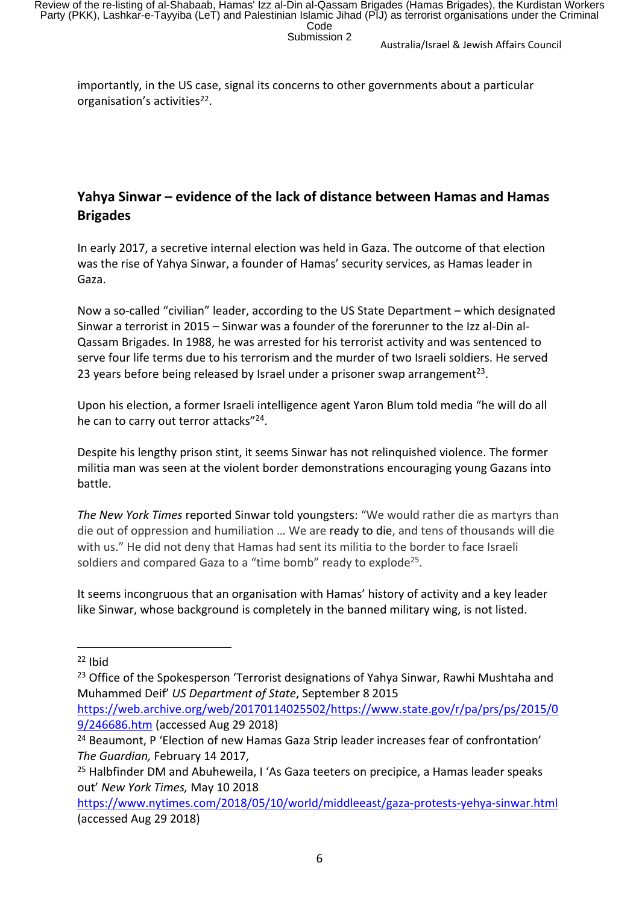importantly, in the US case, signal its concerns to other governments about a particular organisation's activities<sup>22</sup>.

# **Yahya Sinwar – evidence of the lack of distance between Hamas and Hamas Brigades**

In early 2017, a secretive internal election was held in Gaza. The outcome of that election was the rise of Yahya Sinwar, a founder of Hamas' security services, as Hamas leader in Gaza.

Now a so-called "civilian" leader, according to the US State Department – which designated Sinwar a terrorist in 2015 – Sinwar was a founder of the forerunner to the Izz al-Din al-Qassam Brigades. In 1988, he was arrested for his terrorist activity and was sentenced to serve four life terms due to his terrorism and the murder of two Israeli soldiers. He served 23 years before being released by Israel under a prisoner swap arrangement<sup>23</sup>.

Upon his election, a former Israeli intelligence agent Yaron Blum told media "he will do all he can to carry out terror attacks"<sup>24</sup>.

Despite his lengthy prison stint, it seems Sinwar has not relinquished violence. The former militia man was seen at the violent border demonstrations encouraging young Gazans into battle.

*The New York Times* reported Sinwar told youngsters: "We would rather die as martyrs than die out of oppression and humiliation … We are ready to die, and tens of thousands will die with us." He did not deny that Hamas had sent its militia to the border to face Israeli soldiers and compared Gaza to a "time bomb" ready to explode<sup>25</sup>.

It seems incongruous that an organisation with Hamas' history of activity and a key leader like Sinwar, whose background is completely in the banned military wing, is not listed.

 $22$  Ibid

<sup>&</sup>lt;sup>23</sup> Office of the Spokesperson 'Terrorist designations of Yahya Sinwar, Rawhi Mushtaha and Muhammed Deif' *US Department of State*, September 8 2015

https://web.archive.org/web/20170114025502/https://www.state.gov/r/pa/prs/ps/2015/0 9/246686.htm (accessed Aug 29 2018)

<sup>&</sup>lt;sup>24</sup> Beaumont, P 'Election of new Hamas Gaza Strip leader increases fear of confrontation' *The Guardian,* February 14 2017,

<sup>&</sup>lt;sup>25</sup> Halbfinder DM and Abuheweila, I 'As Gaza teeters on precipice, a Hamas leader speaks out' *New York Times,* May 10 2018

https://www.nytimes.com/2018/05/10/world/middleeast/gaza-protests-yehya-sinwar.html (accessed Aug 29 2018)